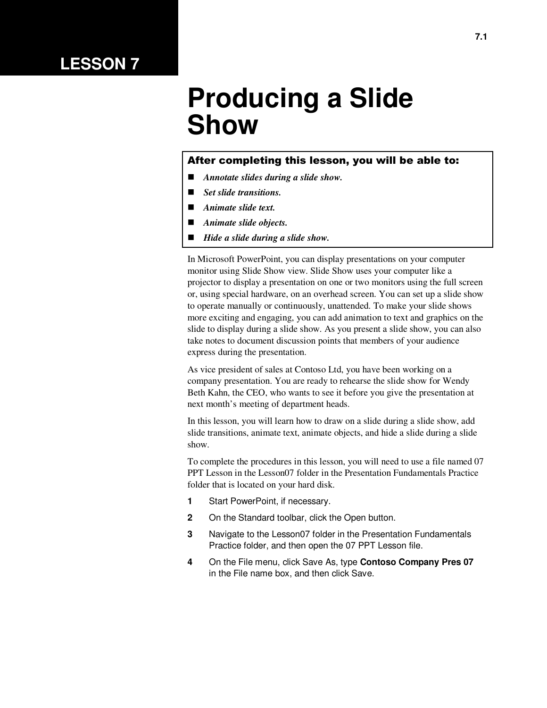## **LESSON 7**

# **Producing a Slide Show**

#### After completing this lesson, you will be able to:

- *Annotate slides during a slide show.*
- *Set slide transitions.*
- *Animate slide text.*
- *Animate slide objects.*
- *Hide a slide during a slide show.*

In Microsoft PowerPoint, you can display presentations on your computer monitor using Slide Show view. Slide Show uses your computer like a projector to display a presentation on one or two monitors using the full screen or, using special hardware, on an overhead screen. You can set up a slide show to operate manually or continuously, unattended. To make your slide shows more exciting and engaging, you can add animation to text and graphics on the slide to display during a slide show. As you present a slide show, you can also take notes to document discussion points that members of your audience express during the presentation.

As vice president of sales at Contoso Ltd, you have been working on a company presentation. You are ready to rehearse the slide show for Wendy Beth Kahn, the CEO, who wants to see it before you give the presentation at next month's meeting of department heads.

In this lesson, you will learn how to draw on a slide during a slide show, add slide transitions, animate text, animate objects, and hide a slide during a slide show.

To complete the procedures in this lesson, you will need to use a file named 07 PPT Lesson in the Lesson07 folder in the Presentation Fundamentals Practice folder that is located on your hard disk.

- **1** Start PowerPoint, if necessary.
- **2** On the Standard toolbar, click the Open button.
- **3** Navigate to the Lesson07 folder in the Presentation Fundamentals Practice folder, and then open the 07 PPT Lesson file.
- **4** On the File menu, click Save As, type **Contoso Company Pres 07** in the File name box, and then click Save.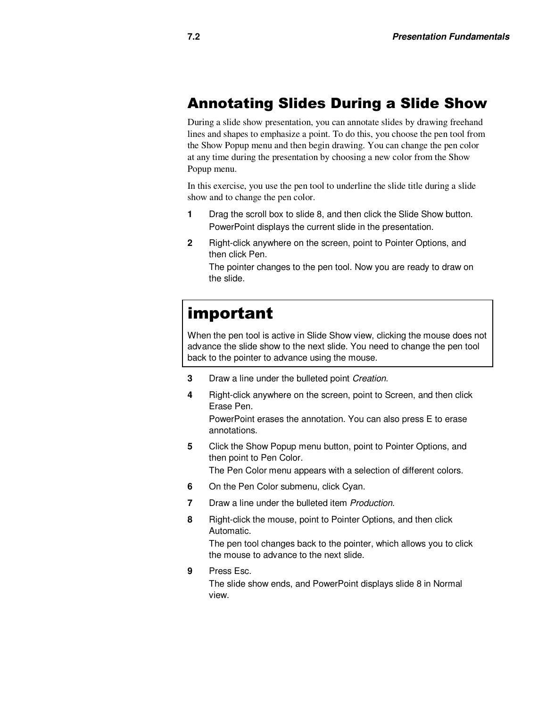#### Annotating Slides During a Slide Show

During a slide show presentation, you can annotate slides by drawing freehand lines and shapes to emphasize a point. To do this, you choose the pen tool from the Show Popup menu and then begin drawing. You can change the pen color at any time during the presentation by choosing a new color from the Show Popup menu.

In this exercise, you use the pen tool to underline the slide title during a slide show and to change the pen color.

- **1** Drag the scroll box to slide 8, and then click the Slide Show button. PowerPoint displays the current slide in the presentation.
- **2** Right-click anywhere on the screen, point to Pointer Options, and then click Pen.

The pointer changes to the pen tool. Now you are ready to draw on the slide.

# important

When the pen tool is active in Slide Show view, clicking the mouse does not advance the slide show to the next slide. You need to change the pen tool back to the pointer to advance using the mouse.

- **3** Draw a line under the bulleted point *Creation*.
- **4** Right-click anywhere on the screen, point to Screen, and then click Erase Pen.

PowerPoint erases the annotation. You can also press E to erase annotations.

**5** Click the Show Popup menu button, point to Pointer Options, and then point to Pen Color.

The Pen Color menu appears with a selection of different colors.

- **6** On the Pen Color submenu, click Cyan.
- **7** Draw a line under the bulleted item Production.
- **8** Right-click the mouse, point to Pointer Options, and then click Automatic.

The pen tool changes back to the pointer, which allows you to click the mouse to advance to the next slide.

**9** Press Esc.

The slide show ends, and PowerPoint displays slide 8 in Normal view.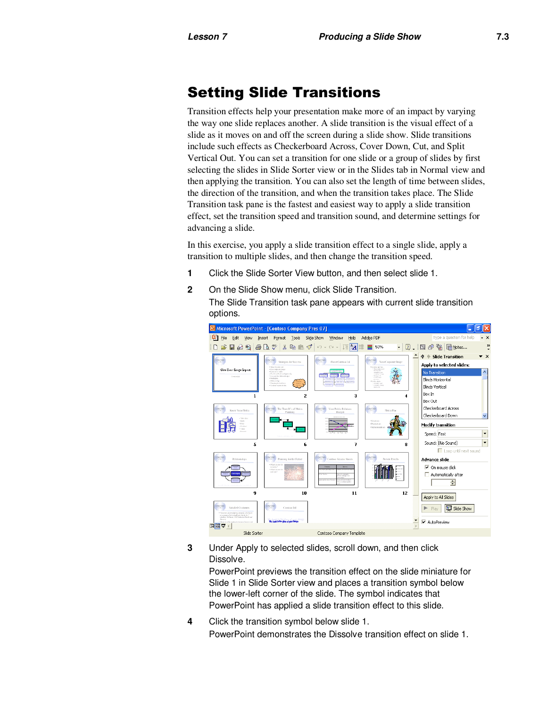### Setting Slide Transitions

Transition effects help your presentation make more of an impact by varying the way one slide replaces another. A slide transition is the visual effect of a slide as it moves on and off the screen during a slide show. Slide transitions include such effects as Checkerboard Across, Cover Down, Cut, and Split Vertical Out. You can set a transition for one slide or a group of slides by first selecting the slides in Slide Sorter view or in the Slides tab in Normal view and then applying the transition. You can also set the length of time between slides, the direction of the transition, and when the transition takes place. The Slide Transition task pane is the fastest and easiest way to apply a slide transition effect, set the transition speed and transition sound, and determine settings for advancing a slide.

In this exercise, you apply a slide transition effect to a single slide, apply a transition to multiple slides, and then change the transition speed.

- **1** Click the Slide Sorter View button, and then select slide 1.
- **2** On the Slide Show menu, click Slide Transition.
	- The Slide Transition task pane appears with current slide transition options.



**3** Under Apply to selected slides, scroll down, and then click Dissolve.

PowerPoint previews the transition effect on the slide miniature for Slide 1 in Slide Sorter view and places a transition symbol below the lower-left corner of the slide. The symbol indicates that PowerPoint has applied a slide transition effect to this slide.

**4** Click the transition symbol below slide 1. PowerPoint demonstrates the Dissolve transition effect on slide 1.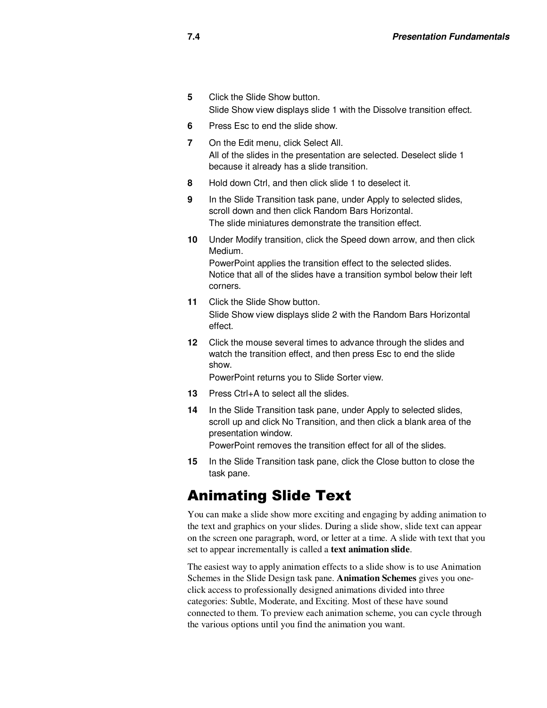- **5** Click the Slide Show button. Slide Show view displays slide 1 with the Dissolve transition effect.
- **6** Press Esc to end the slide show.
- **7** On the Edit menu, click Select All. All of the slides in the presentation are selected. Deselect slide 1 because it already has a slide transition.
- **8** Hold down Ctrl, and then click slide 1 to deselect it.
- **9** In the Slide Transition task pane, under Apply to selected slides, scroll down and then click Random Bars Horizontal. The slide miniatures demonstrate the transition effect.
- **10** Under Modify transition, click the Speed down arrow, and then click Medium.

PowerPoint applies the transition effect to the selected slides. Notice that all of the slides have a transition symbol below their left corners.

- **11** Click the Slide Show button. Slide Show view displays slide 2 with the Random Bars Horizontal effect.
- **12** Click the mouse several times to advance through the slides and watch the transition effect, and then press Esc to end the slide show.

PowerPoint returns you to Slide Sorter view.

- **13** Press Ctrl+A to select all the slides.
- **14** In the Slide Transition task pane, under Apply to selected slides, scroll up and click No Transition, and then click a blank area of the presentation window. PowerPoint removes the transition effect for all of the slides.
- **15** In the Slide Transition task pane, click the Close button to close the task pane.

#### Animating Slide Text

You can make a slide show more exciting and engaging by adding animation to the text and graphics on your slides. During a slide show, slide text can appear on the screen one paragraph, word, or letter at a time. A slide with text that you set to appear incrementally is called a **text animation slide**.

The easiest way to apply animation effects to a slide show is to use Animation Schemes in the Slide Design task pane. **Animation Schemes** gives you oneclick access to professionally designed animations divided into three categories: Subtle, Moderate, and Exciting. Most of these have sound connected to them. To preview each animation scheme, you can cycle through the various options until you find the animation you want.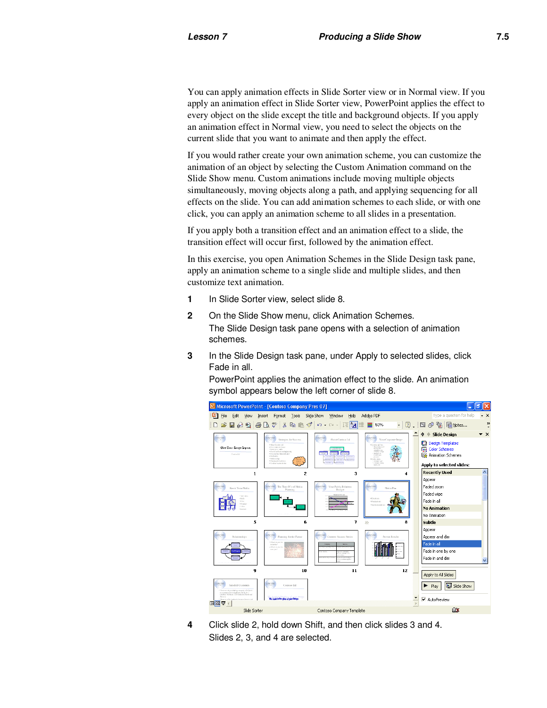You can apply animation effects in Slide Sorter view or in Normal view. If you apply an animation effect in Slide Sorter view, PowerPoint applies the effect to every object on the slide except the title and background objects. If you apply an animation effect in Normal view, you need to select the objects on the current slide that you want to animate and then apply the effect.

If you would rather create your own animation scheme, you can customize the animation of an object by selecting the Custom Animation command on the Slide Show menu. Custom animations include moving multiple objects simultaneously, moving objects along a path, and applying sequencing for all effects on the slide. You can add animation schemes to each slide, or with one click, you can apply an animation scheme to all slides in a presentation.

If you apply both a transition effect and an animation effect to a slide, the transition effect will occur first, followed by the animation effect.

In this exercise, you open Animation Schemes in the Slide Design task pane, apply an animation scheme to a single slide and multiple slides, and then customize text animation.

- **1** In Slide Sorter view, select slide 8.
- **2** On the Slide Show menu, click Animation Schemes. The Slide Design task pane opens with a selection of animation schemes.
- **3** In the Slide Design task pane, under Apply to selected slides, click Fade in all.

PowerPoint applies the animation effect to the slide. An animation symbol appears below the left corner of slide 8.



**4** Click slide 2, hold down Shift, and then click slides 3 and 4. Slides 2, 3, and 4 are selected.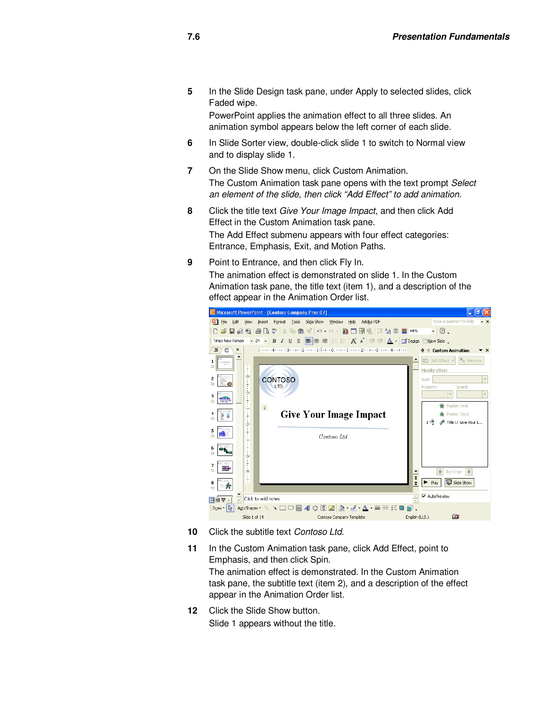**5** In the Slide Design task pane, under Apply to selected slides, click Faded wipe.

PowerPoint applies the animation effect to all three slides. An animation symbol appears below the left corner of each slide.

- **6** In Slide Sorter view, double-click slide 1 to switch to Normal view and to display slide 1.
- **7** On the Slide Show menu, click Custom Animation. The Custom Animation task pane opens with the text prompt Select an element of the slide, then click "Add Effect" to add animation.
- **8** Click the title text Give Your Image Impact, and then click Add Effect in the Custom Animation task pane. The Add Effect submenu appears with four effect categories: Entrance, Emphasis, Exit, and Motion Paths.
- **9** Point to Entrance, and then click Fly In.

The animation effect is demonstrated on slide 1. In the Custom Animation task pane, the title text (item 1), and a description of the effect appear in the Animation Order list.



- **10** Click the subtitle text Contoso Ltd.
- **11** In the Custom Animation task pane, click Add Effect, point to Emphasis, and then click Spin. The animation effect is demonstrated. In the Custom Animation task pane, the subtitle text (item 2), and a description of the effect appear in the Animation Order list.
- **12** Click the Slide Show button. Slide 1 appears without the title.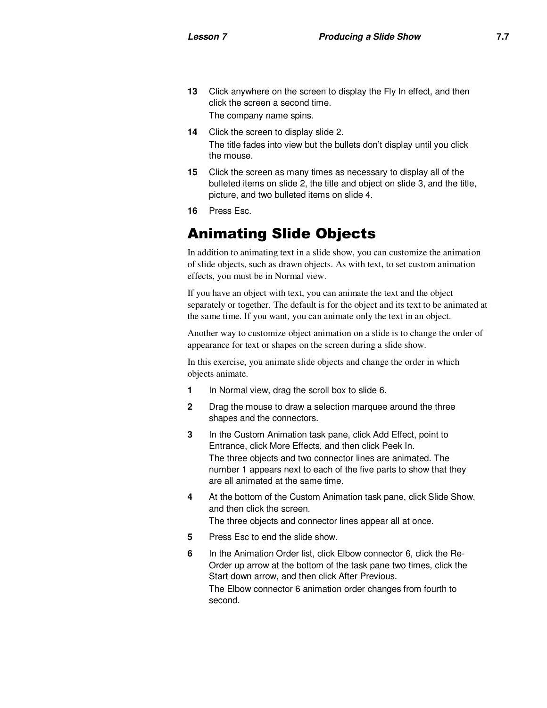- **13** Click anywhere on the screen to display the Fly In effect, and then click the screen a second time. The company name spins.
- **14** Click the screen to display slide 2. The title fades into view but the bullets don't display until you click the mouse.
- **15** Click the screen as many times as necessary to display all of the bulleted items on slide 2, the title and object on slide 3, and the title, picture, and two bulleted items on slide 4.
- **16** Press Esc.

### Animating Slide Objects

In addition to animating text in a slide show, you can customize the animation of slide objects, such as drawn objects. As with text, to set custom animation effects, you must be in Normal view.

If you have an object with text, you can animate the text and the object separately or together. The default is for the object and its text to be animated at the same time. If you want, you can animate only the text in an object.

Another way to customize object animation on a slide is to change the order of appearance for text or shapes on the screen during a slide show.

In this exercise, you animate slide objects and change the order in which objects animate.

- **1** In Normal view, drag the scroll box to slide 6.
- **2** Drag the mouse to draw a selection marquee around the three shapes and the connectors.
- **3** In the Custom Animation task pane, click Add Effect, point to Entrance, click More Effects, and then click Peek In. The three objects and two connector lines are animated. The number 1 appears next to each of the five parts to show that they are all animated at the same time.
- **4** At the bottom of the Custom Animation task pane, click Slide Show, and then click the screen. The three objects and connector lines appear all at once.
- **5** Press Esc to end the slide show.
- **6** In the Animation Order list, click Elbow connector 6, click the Re-Order up arrow at the bottom of the task pane two times, click the Start down arrow, and then click After Previous. The Elbow connector 6 animation order changes from fourth to second.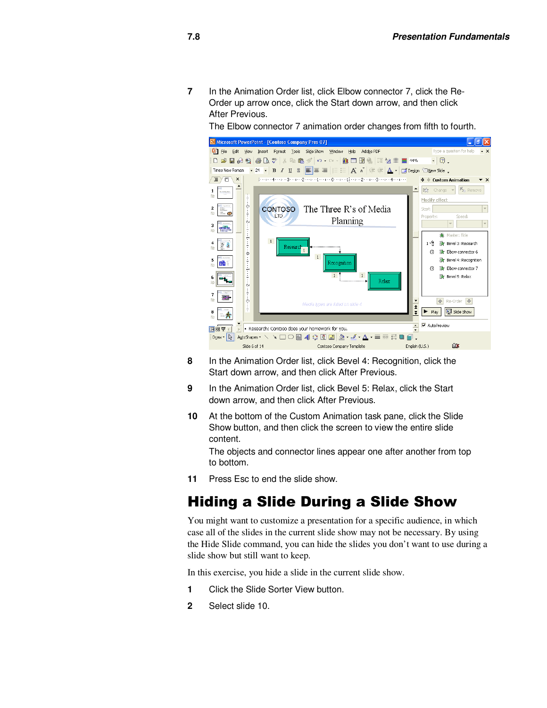**7** In the Animation Order list, click Elbow connector 7, click the Re-Order up arrow once, click the Start down arrow, and then click After Previous.

The Elbow connector 7 animation order changes from fifth to fourth.



- **8** In the Animation Order list, click Bevel 4: Recognition, click the Start down arrow, and then click After Previous.
- **9** In the Animation Order list, click Bevel 5: Relax, click the Start down arrow, and then click After Previous.
- **10** At the bottom of the Custom Animation task pane, click the Slide Show button, and then click the screen to view the entire slide content.

The objects and connector lines appear one after another from top to bottom.

**11** Press Esc to end the slide show.

#### Hiding a Slide During a Slide Show

You might want to customize a presentation for a specific audience, in which case all of the slides in the current slide show may not be necessary. By using the Hide Slide command, you can hide the slides you don't want to use during a slide show but still want to keep.

In this exercise, you hide a slide in the current slide show.

- **1** Click the Slide Sorter View button.
- **2** Select slide 10.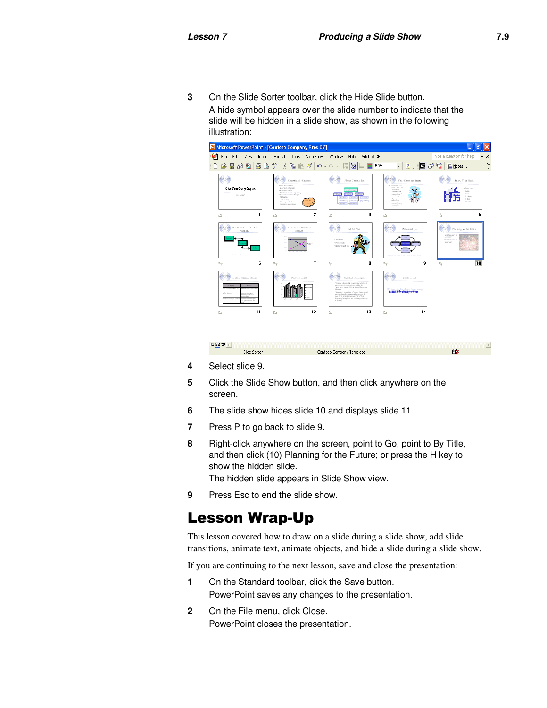**3** On the Slide Sorter toolbar, click the Hide Slide button. A hide symbol appears over the slide number to indicate that the slide will be hidden in a slide show, as shown in the following illustration:



- **4** Select slide 9.
- **5** Click the Slide Show button, and then click anywhere on the screen.

Contoso Company Template

- **6** The slide show hides slide 10 and displays slide 11.
- **7** Press P to go back to slide 9.

Slide Sorter

**8** Right-click anywhere on the screen, point to Go, point to By Title, and then click (10) Planning for the Future; or press the H key to show the hidden slide.

The hidden slide appears in Slide Show view.

**9** Press Esc to end the slide show.

#### Lesson Wrap-Up

This lesson covered how to draw on a slide during a slide show, add slide transitions, animate text, animate objects, and hide a slide during a slide show.

If you are continuing to the next lesson, save and close the presentation:

- **1** On the Standard toolbar, click the Save button. PowerPoint saves any changes to the presentation.
- **2** On the File menu, click Close. PowerPoint closes the presentation.

ŪX.